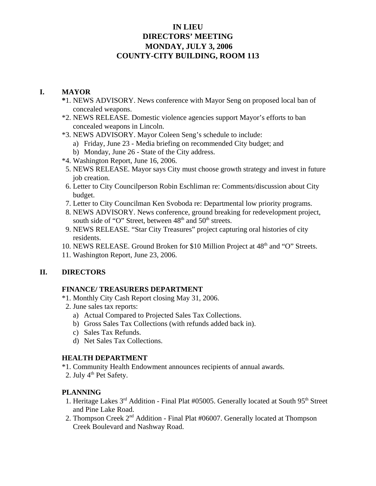# **IN LIEU DIRECTORS' MEETING MONDAY, JULY 3, 2006 COUNTY-CITY BUILDING, ROOM 113**

## **I. MAYOR**

- **\***1. NEWS ADVISORY. News conference with Mayor Seng on proposed local ban of concealed weapons.
- \*2. NEWS RELEASE. Domestic violence agencies support Mayor's efforts to ban concealed weapons in Lincoln.
- \*3. NEWS ADVISORY. Mayor Coleen Seng's schedule to include:
	- a) Friday, June 23 Media briefing on recommended City budget; and
	- b) Monday, June 26 State of the City address.
- \*4. Washington Report, June 16, 2006.
- 5. NEWS RELEASE. Mayor says City must choose growth strategy and invest in future job creation.
- 6. Letter to City Councilperson Robin Eschliman re: Comments/discussion about City budget.
- 7. Letter to City Councilman Ken Svoboda re: Departmental low priority programs.
- 8. NEWS ADVISORY. News conference, ground breaking for redevelopment project, south side of "O" Street, between 48<sup>th</sup> and 50<sup>th</sup> streets.
- 9. NEWS RELEASE. "Star City Treasures" project capturing oral histories of city residents.
- 10. NEWS RELEASE. Ground Broken for \$10 Million Project at 48<sup>th</sup> and "O" Streets.
- 11. Washington Report, June 23, 2006.

## **II. DIRECTORS**

## **FINANCE/ TREASURERS DEPARTMENT**

- \*1. Monthly City Cash Report closing May 31, 2006.
- 2. June sales tax reports:
	- a) Actual Compared to Projected Sales Tax Collections.
	- b) Gross Sales Tax Collections (with refunds added back in).
	- c) Sales Tax Refunds.
	- d) Net Sales Tax Collections.

## **HEALTH DEPARTMENT**

- \*1. Community Health Endowment announces recipients of annual awards.
- 2. July  $4<sup>th</sup>$  Pet Safety.

## **PLANNING**

- 1. Heritage Lakes 3<sup>rd</sup> Addition Final Plat #05005. Generally located at South 95<sup>th</sup> Street and Pine Lake Road.
- 2. Thompson Creek 2<sup>nd</sup> Addition Final Plat #06007. Generally located at Thompson Creek Boulevard and Nashway Road.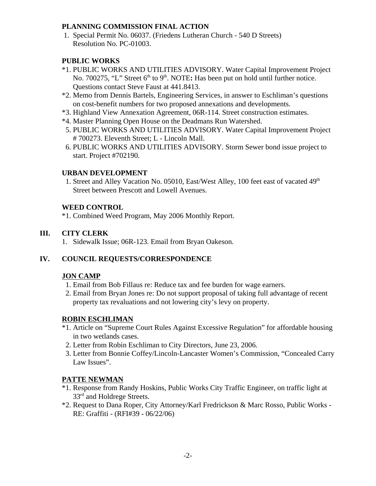#### **PLANNING COMMISSION FINAL ACTION**

 1. Special Permit No. 06037. (Friedens Lutheran Church - 540 D Streets) Resolution No. PC-01003.

#### **PUBLIC WORKS**

- \*1. PUBLIC WORKS AND UTILITIES ADVISORY. Water Capital Improvement Project No. 700275, "L" Street 6<sup>th</sup> to 9<sup>th</sup>. NOTE: Has been put on hold until further notice. Questions contact Steve Faust at 441.8413.
- \*2. Memo from Dennis Bartels, Engineering Services, in answer to Eschliman's questions on cost-benefit numbers for two proposed annexations and developments.
- \*3. Highland View Annexation Agreement, 06R-114. Street construction estimates.
- \*4. Master Planning Open House on the Deadmans Run Watershed.
- 5. PUBLIC WORKS AND UTILITIES ADVISORY. Water Capital Improvement Project # 700273. Eleventh Street; L - Lincoln Mall.
- 6. PUBLIC WORKS AND UTILITIES ADVISORY. Storm Sewer bond issue project to start. Project #702190.

#### **URBAN DEVELOPMENT**

1. Street and Alley Vacation No. 05010, East/West Alley, 100 feet east of vacated 49<sup>th</sup> Street between Prescott and Lowell Avenues.

### **WEED CONTROL**

\*1. Combined Weed Program, May 2006 Monthly Report.

### **III. CITY CLERK**

1. Sidewalk Issue; 06R-123. Email from Bryan Oakeson.

## **IV. COUNCIL REQUESTS/CORRESPONDENCE**

#### **JON CAMP**

- 1. Email from Bob Fillaus re: Reduce tax and fee burden for wage earners.
- 2. Email from Bryan Jones re: Do not support proposal of taking full advantage of recent property tax revaluations and not lowering city's levy on property.

#### **ROBIN ESCHLIMAN**

- \*1. Article on "Supreme Court Rules Against Excessive Regulation" for affordable housing in two wetlands cases.
- 2. Letter from Robin Eschliman to City Directors, June 23, 2006.
- 3. Letter from Bonnie Coffey/Lincoln-Lancaster Women's Commission, "Concealed Carry Law Issues".

#### **PATTE NEWMAN**

- \*1. Response from Randy Hoskins, Public Works City Traffic Engineer, on traffic light at 33<sup>rd</sup> and Holdrege Streets.
- \*2. Request to Dana Roper, City Attorney/Karl Fredrickson & Marc Rosso, Public Works RE: Graffiti - (RFI#39 - 06/22/06)